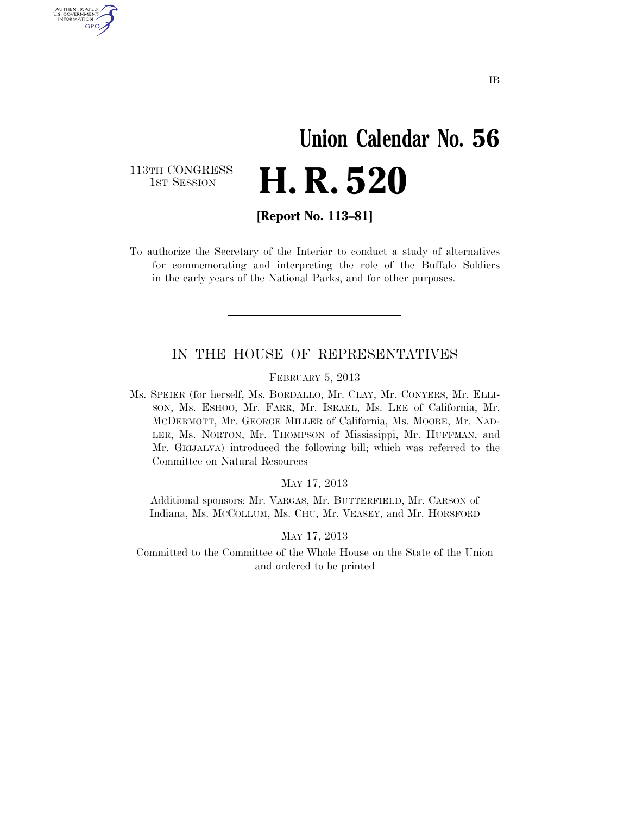# **Union Calendar No. 56 H. R. 520**

113TH CONGRESS<br>1st Session

U.S. GOVERNMENT GPO

**[Report No. 113–81]** 

To authorize the Secretary of the Interior to conduct a study of alternatives for commemorating and interpreting the role of the Buffalo Soldiers in the early years of the National Parks, and for other purposes.

#### IN THE HOUSE OF REPRESENTATIVES

FEBRUARY 5, 2013

Ms. SPEIER (for herself, Ms. BORDALLO, Mr. CLAY, Mr. CONYERS, Mr. ELLI-SON, Ms. ESHOO, Mr. FARR, Mr. ISRAEL, Ms. LEE of California, Mr. MCDERMOTT, Mr. GEORGE MILLER of California, Ms. MOORE, Mr. NAD-LER, Ms. NORTON, Mr. THOMPSON of Mississippi, Mr. HUFFMAN, and Mr. GRIJALVA) introduced the following bill; which was referred to the Committee on Natural Resources

MAY 17, 2013

Additional sponsors: Mr. VARGAS, Mr. BUTTERFIELD, Mr. CARSON of Indiana, Ms. MCCOLLUM, Ms. CHU, Mr. VEASEY, and Mr. HORSFORD

MAY 17, 2013

Committed to the Committee of the Whole House on the State of the Union and ordered to be printed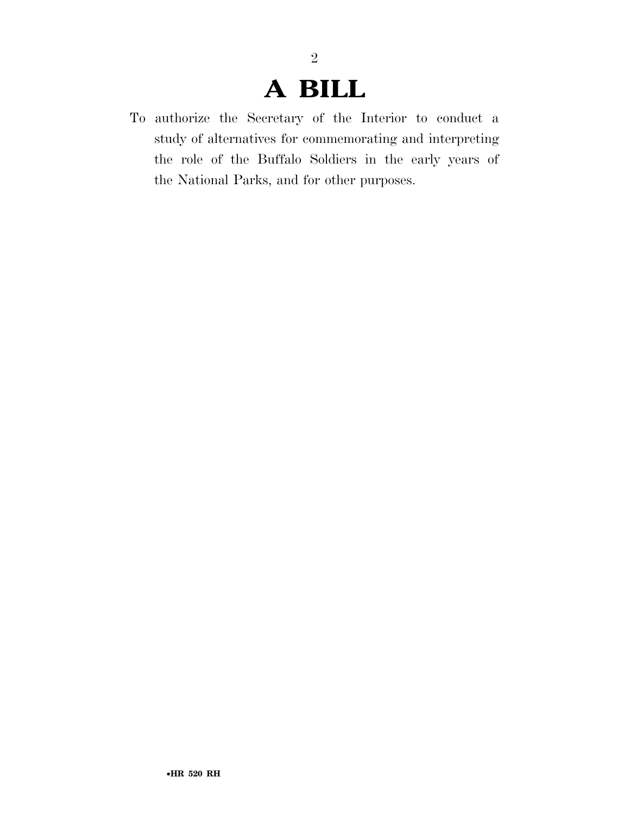### **A BILL**

To authorize the Secretary of the Interior to conduct a study of alternatives for commemorating and interpreting the role of the Buffalo Soldiers in the early years of the National Parks, and for other purposes.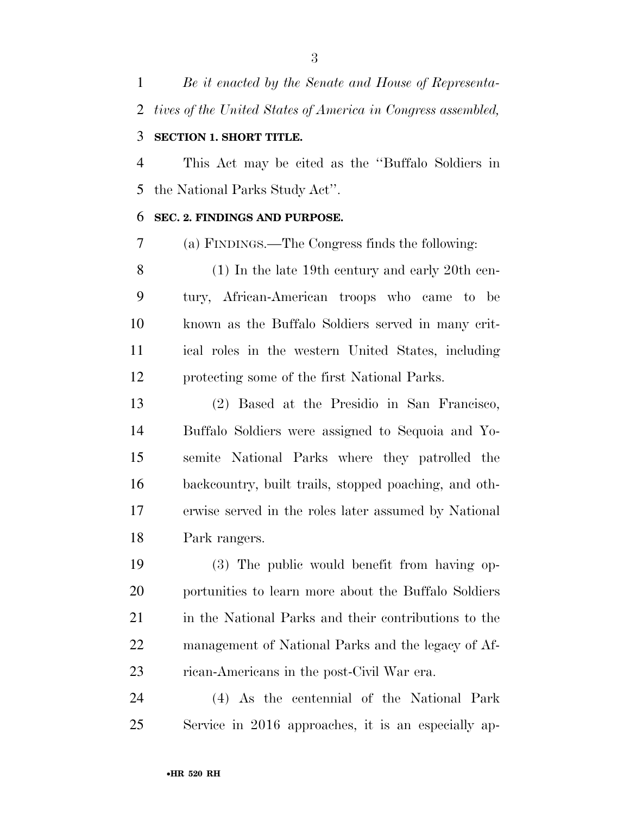*Be it enacted by the Senate and House of Representa-tives of the United States of America in Congress assembled,* 

### **SECTION 1. SHORT TITLE.**

 This Act may be cited as the ''Buffalo Soldiers in the National Parks Study Act''.

#### **SEC. 2. FINDINGS AND PURPOSE.**

(a) FINDINGS.—The Congress finds the following:

 (1) In the late 19th century and early 20th cen- tury, African-American troops who came to be known as the Buffalo Soldiers served in many crit- ical roles in the western United States, including protecting some of the first National Parks.

 (2) Based at the Presidio in San Francisco, Buffalo Soldiers were assigned to Sequoia and Yo- semite National Parks where they patrolled the backcountry, built trails, stopped poaching, and oth- erwise served in the roles later assumed by National Park rangers.

 (3) The public would benefit from having op- portunities to learn more about the Buffalo Soldiers in the National Parks and their contributions to the management of National Parks and the legacy of Af-rican-Americans in the post-Civil War era.

 (4) As the centennial of the National Park Service in 2016 approaches, it is an especially ap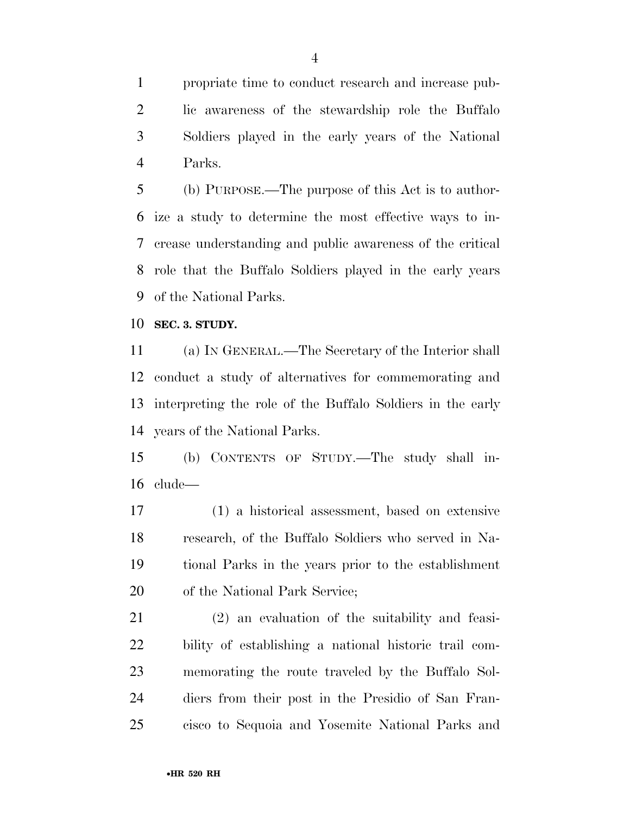propriate time to conduct research and increase pub- lic awareness of the stewardship role the Buffalo Soldiers played in the early years of the National Parks.

 (b) PURPOSE.—The purpose of this Act is to author- ize a study to determine the most effective ways to in- crease understanding and public awareness of the critical role that the Buffalo Soldiers played in the early years of the National Parks.

**SEC. 3. STUDY.** 

 (a) IN GENERAL.—The Secretary of the Interior shall conduct a study of alternatives for commemorating and interpreting the role of the Buffalo Soldiers in the early years of the National Parks.

 (b) CONTENTS OF STUDY.—The study shall in-clude—

 (1) a historical assessment, based on extensive research, of the Buffalo Soldiers who served in Na- tional Parks in the years prior to the establishment of the National Park Service;

 (2) an evaluation of the suitability and feasi- bility of establishing a national historic trail com- memorating the route traveled by the Buffalo Sol- diers from their post in the Presidio of San Fran-cisco to Sequoia and Yosemite National Parks and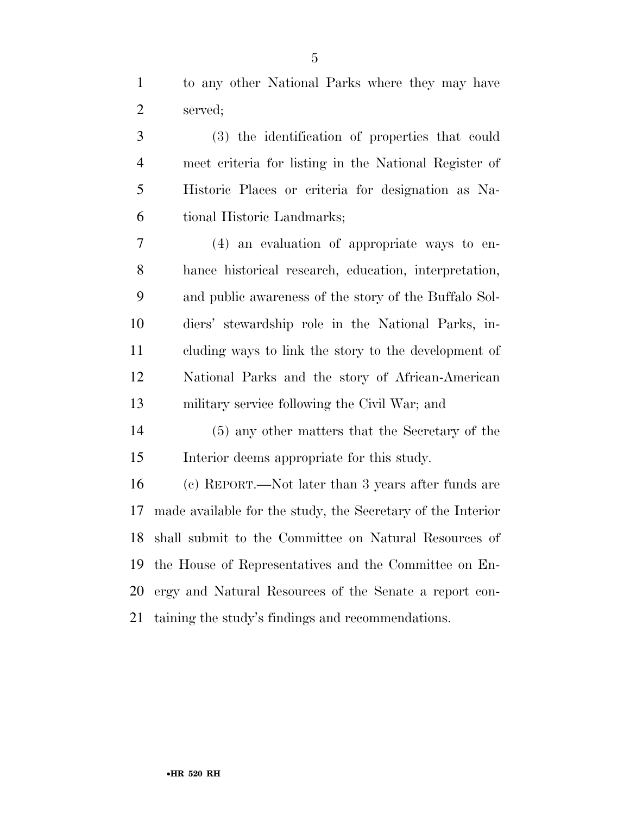to any other National Parks where they may have served;

 (3) the identification of properties that could meet criteria for listing in the National Register of Historic Places or criteria for designation as Na-tional Historic Landmarks;

 (4) an evaluation of appropriate ways to en- hance historical research, education, interpretation, and public awareness of the story of the Buffalo Sol- diers' stewardship role in the National Parks, in- cluding ways to link the story to the development of National Parks and the story of African-American military service following the Civil War; and

 (5) any other matters that the Secretary of the Interior deems appropriate for this study.

 (c) REPORT.—Not later than 3 years after funds are made available for the study, the Secretary of the Interior shall submit to the Committee on Natural Resources of the House of Representatives and the Committee on En- ergy and Natural Resources of the Senate a report con-taining the study's findings and recommendations.